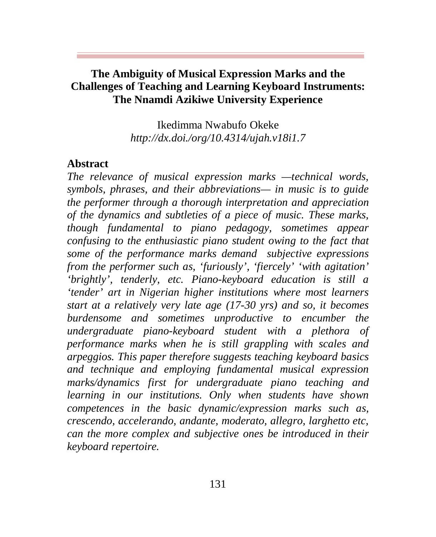## **The Ambiguity of Musical Expression Marks and the Challenges of Teaching and Learning Keyboard Instruments: The Nnamdi Azikiwe University Experience**

Ikedimma Nwabufo Okeke *http://dx.doi./org/10.4314/ujah.v18i1.7*

#### **Abstract**

*The relevance of musical expression marks —technical words, symbols, phrases, and their abbreviations— in music is to guide the performer through a thorough interpretation and appreciation of the dynamics and subtleties of a piece of music. These marks, though fundamental to piano pedagogy, sometimes appear confusing to the enthusiastic piano student owing to the fact that some of the performance marks demand subjective expressions from the performer such as, 'furiously', 'fiercely' 'with agitation' 'brightly', tenderly, etc. Piano-keyboard education is still a 'tender' art in Nigerian higher institutions where most learners start at a relatively very late age (17-30 yrs) and so, it becomes burdensome and sometimes unproductive to encumber the undergraduate piano-keyboard student with a plethora of performance marks when he is still grappling with scales and arpeggios. This paper therefore suggests teaching keyboard basics and technique and employing fundamental musical expression marks/dynamics first for undergraduate piano teaching and learning in our institutions. Only when students have shown competences in the basic dynamic/expression marks such as, crescendo, accelerando, andante, moderato, allegro, larghetto etc, can the more complex and subjective ones be introduced in their keyboard repertoire.*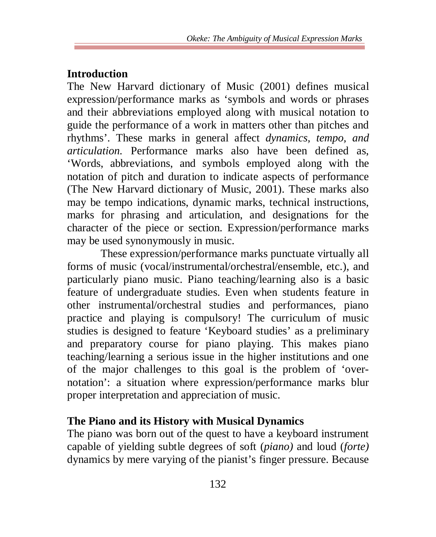# **Introduction**

The New Harvard dictionary of Music (2001) defines musical expression/performance marks as 'symbols and words or phrases and their abbreviations employed along with musical notation to guide the performance of a work in matters other than pitches and rhythms'. These marks in general affect *dynamics, tempo, and articulation.* Performance marks also have been defined as, 'Words, abbreviations, and symbols employed along with the notation of pitch and duration to indicate aspects of performance (The New Harvard dictionary of Music, 2001). These marks also may be tempo indications, dynamic marks, technical instructions, marks for phrasing and articulation, and designations for the character of the piece or section. Expression/performance marks may be used synonymously in music.

These expression/performance marks punctuate virtually all forms of music (vocal/instrumental/orchestral/ensemble, etc.), and particularly piano music. Piano teaching/learning also is a basic feature of undergraduate studies. Even when students feature in other instrumental/orchestral studies and performances, piano practice and playing is compulsory! The curriculum of music studies is designed to feature 'Keyboard studies' as a preliminary and preparatory course for piano playing. This makes piano teaching/learning a serious issue in the higher institutions and one of the major challenges to this goal is the problem of 'overnotation': a situation where expression/performance marks blur proper interpretation and appreciation of music.

# **The Piano and its History with Musical Dynamics**

The piano was born out of the quest to have a keyboard instrument capable of yielding subtle degrees of soft (*piano)* and loud (*forte)*  dynamics by mere varying of the pianist's finger pressure. Because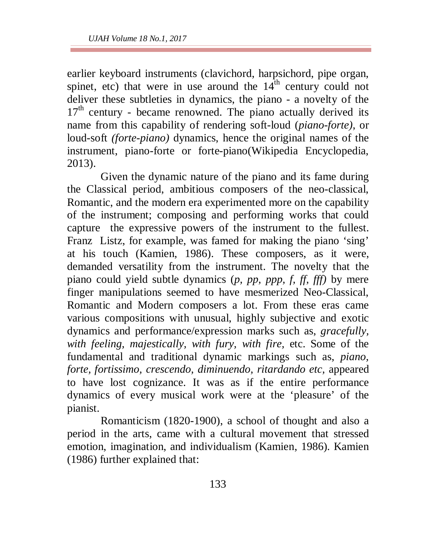earlier keyboard instruments (clavichord, harpsichord, pipe organ, spinet, etc) that were in use around the  $14<sup>th</sup>$  century could not deliver these subtleties in dynamics, the piano - a novelty of the  $17<sup>th</sup>$  century - became renowned. The piano actually derived its name from this capability of rendering soft-loud (*piano-forte)*, or loud-soft *(forte-piano)* dynamics, hence the original names of the instrument, piano-forte or forte-piano(Wikipedia Encyclopedia, 2013).

Given the dynamic nature of the piano and its fame during the Classical period, ambitious composers of the neo-classical, Romantic, and the modern era experimented more on the capability of the instrument; composing and performing works that could capture the expressive powers of the instrument to the fullest. Franz Listz, for example, was famed for making the piano 'sing' at his touch (Kamien, 1986). These composers, as it were, demanded versatility from the instrument. The novelty that the piano could yield subtle dynamics (*p, pp, ppp, f, ff, fff)* by mere finger manipulations seemed to have mesmerized Neo-Classical, Romantic and Modern composers a lot. From these eras came various compositions with unusual, highly subjective and exotic dynamics and performance/expression marks such as, *gracefully, with feeling, majestically, with fury, with fire,* etc. Some of the fundamental and traditional dynamic markings such as, *piano, forte, fortissimo, crescendo, diminuendo, ritardando etc,* appeared to have lost cognizance. It was as if the entire performance dynamics of every musical work were at the 'pleasure' of the pianist.

Romanticism (1820-1900), a school of thought and also a period in the arts, came with a cultural movement that stressed emotion, imagination, and individualism (Kamien, 1986). Kamien (1986) further explained that: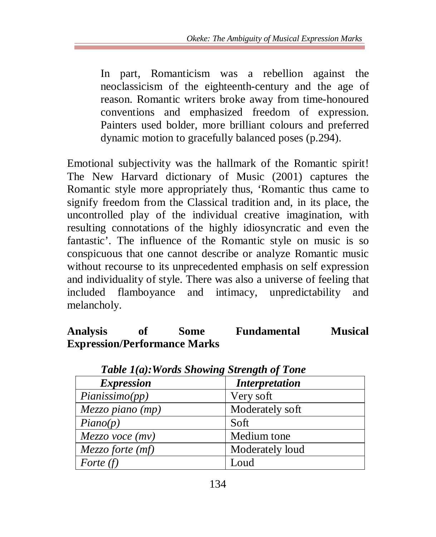In part, Romanticism was a rebellion against the neoclassicism of the eighteenth-century and the age of reason. Romantic writers broke away from time-honoured conventions and emphasized freedom of expression. Painters used bolder, more brilliant colours and preferred dynamic motion to gracefully balanced poses (p.294).

Emotional subjectivity was the hallmark of the Romantic spirit! The New Harvard dictionary of Music (2001) captures the Romantic style more appropriately thus, 'Romantic thus came to signify freedom from the Classical tradition and, in its place, the uncontrolled play of the individual creative imagination, with resulting connotations of the highly idiosyncratic and even the fantastic'. The influence of the Romantic style on music is so conspicuous that one cannot describe or analyze Romantic music without recourse to its unprecedented emphasis on self expression and individuality of style. There was also a universe of feeling that included flamboyance and intimacy, unpredictability and melancholy.

# **Analysis of Some Fundamental Musical Expression/Performance Marks**

| $=$ $\frac{1}{2}$ $\frac{1}{2}$ $\frac{1}{2}$ $\frac{1}{2}$ $\frac{1}{2}$ $\frac{1}{2}$ $\frac{1}{2}$ $\frac{1}{2}$ $\frac{1}{2}$ $\frac{1}{2}$ $\frac{1}{2}$ $\frac{1}{2}$ $\frac{1}{2}$ $\frac{1}{2}$ $\frac{1}{2}$ $\frac{1}{2}$ $\frac{1}{2}$ $\frac{1}{2}$ $\frac{1}{2}$ $\frac{1}{2}$ $\frac{1}{2}$ $\frac{1}{2$ |                       |
|------------------------------------------------------------------------------------------------------------------------------------------------------------------------------------------------------------------------------------------------------------------------------------------------------------------------|-----------------------|
| <b>Expression</b>                                                                                                                                                                                                                                                                                                      | <b>Interpretation</b> |
| Pianissimo(pp)                                                                                                                                                                                                                                                                                                         | Very soft             |
| Mezzo piano (mp)                                                                                                                                                                                                                                                                                                       | Moderately soft       |
| Piano(p)                                                                                                                                                                                                                                                                                                               | Soft                  |
| Mezzo voce (mv)                                                                                                                                                                                                                                                                                                        | Medium tone           |
| Mezzo forte (mf)                                                                                                                                                                                                                                                                                                       | Moderately loud       |
| Forte $(f)$                                                                                                                                                                                                                                                                                                            | Loud                  |

 *Table 1(a):Words Showing Strength of Tone*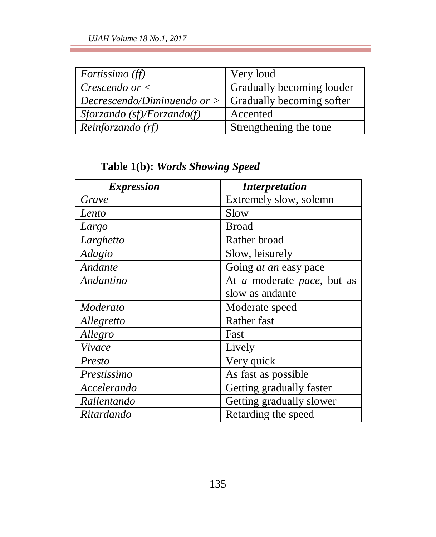| <i>Fortissimo (ff)</i>        | Very loud                        |
|-------------------------------|----------------------------------|
| Crescendo or $\lt$            | Gradually becoming louder        |
| Decrescendo/Diminuendo or $>$ | <b>Gradually becoming softer</b> |
| Sforzando (sf)/Forzando(f)    | Accented                         |
| Reinforzando (rf)             | Strengthening the tone           |

**Table 1(b):** *Words Showing Speed*

| <i><b>Expression</b></i> | <i>Interpretation</i>        |
|--------------------------|------------------------------|
| Grave                    | Extremely slow, solemn       |
| Lento                    | Slow                         |
| Largo                    | <b>Broad</b>                 |
| Larghetto                | Rather broad                 |
| Adagio                   | Slow, leisurely              |
| Andante                  | Going <i>at an</i> easy pace |
| Andantino                | At a moderate pace, but as   |
|                          | slow as andante              |
| Moderato                 | Moderate speed               |
| Allegretto               | Rather fast                  |
| Allegro                  | Fast                         |
| Vivace                   | Lively                       |
| Presto                   | Very quick                   |
| Prestissimo              | As fast as possible          |
| Accelerando              | Getting gradually faster     |
| Rallentando              | Getting gradually slower     |
| Ritardando               | Retarding the speed          |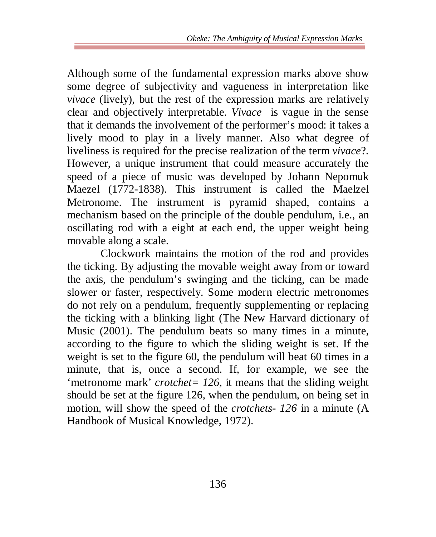Although some of the fundamental expression marks above show some degree of subjectivity and vagueness in interpretation like *vivace* (lively), but the rest of the expression marks are relatively clear and objectively interpretable. *Vivace* is vague in the sense that it demands the involvement of the performer's mood: it takes a lively mood to play in a lively manner. Also what degree of liveliness is required for the precise realization of the term *vivace*?. However, a unique instrument that could measure accurately the speed of a piece of music was developed by Johann Nepomuk Maezel (1772-1838). This instrument is called the Maelzel Metronome. The instrument is pyramid shaped, contains a mechanism based on the principle of the double pendulum, i.e., an oscillating rod with a eight at each end, the upper weight being movable along a scale.

Clockwork maintains the motion of the rod and provides the ticking. By adjusting the movable weight away from or toward the axis, the pendulum's swinging and the ticking, can be made slower or faster, respectively. Some modern electric metronomes do not rely on a pendulum, frequently supplementing or replacing the ticking with a blinking light (The New Harvard dictionary of Music (2001). The pendulum beats so many times in a minute, according to the figure to which the sliding weight is set. If the weight is set to the figure 60, the pendulum will beat 60 times in a minute, that is, once a second. If, for example, we see the 'metronome mark' *crotchet= 126*, it means that the sliding weight should be set at the figure 126, when the pendulum, on being set in motion, will show the speed of the *crotchets- 126* in a minute (A Handbook of Musical Knowledge, 1972).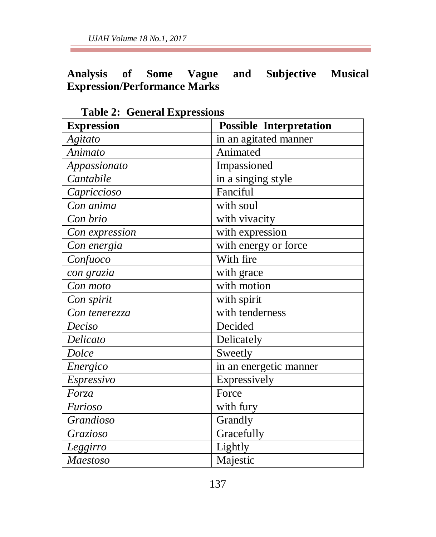*UJAH Volume 18 No.1, 2017*

## **Analysis of Some Vague and Subjective Musical Expression/Performance Marks**

| O CHULUI LAPI COOLUIO<br><b>Expression</b> | <b>Possible Interpretation</b> |
|--------------------------------------------|--------------------------------|
| Agitato                                    | in an agitated manner          |
| $\overline{A}$ nimato                      | Animated                       |
| Appassionato                               | Impassioned                    |
| Cantabile                                  | in a singing style             |
| Capriccioso                                | Fanciful                       |
| Con anima                                  | with soul                      |
| Con brio                                   | with vivacity                  |
| Con expression                             | with expression                |
| Con energia                                | with energy or force           |
| Confuco                                    | With fire                      |
| con grazia                                 | with grace                     |
| Con moto                                   | with motion                    |
| Con spirit                                 | with spirit                    |
| Con tenerezza                              | with tenderness                |
| Deciso                                     | Decided                        |
| Delicato                                   | Delicately                     |
| Dolce                                      | Sweetly                        |
| Energico                                   | in an energetic manner         |
| Espressivo                                 | Expressively                   |
| Forza                                      | Force                          |
| Furioso                                    | with fury                      |
| Grandioso                                  | Grandly                        |
| Grazioso                                   | Gracefully                     |
| Leggirro                                   | Lightly                        |
| <b>Maestoso</b>                            | Majestic                       |

 **Table 2: General Expressions**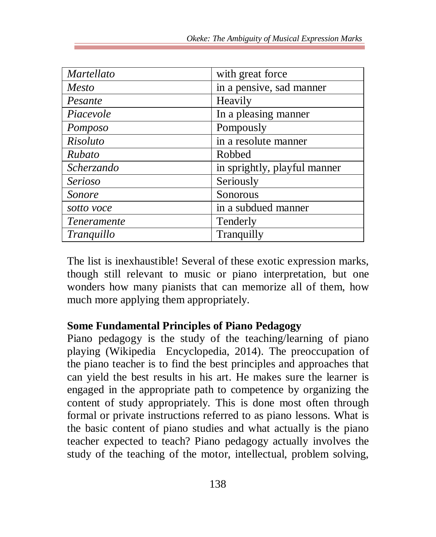| Martellato        | with great force             |
|-------------------|------------------------------|
| Mesto             | in a pensive, sad manner     |
| Pesante           | Heavily                      |
| Piacevole         | In a pleasing manner         |
| Pomposo           | Pompously                    |
| Risoluto          | in a resolute manner         |
| Rubato            | Robbed                       |
| Scherzando        | in sprightly, playful manner |
| Serioso           | Seriously                    |
| Sonore            | Sonorous                     |
| sotto voce        | in a subdued manner          |
| Teneramente       | Tenderly                     |
| <i>Tranquillo</i> | Tranquilly                   |

The list is inexhaustible! Several of these exotic expression marks, though still relevant to music or piano interpretation, but one wonders how many pianists that can memorize all of them, how much more applying them appropriately.

## **Some Fundamental Principles of Piano Pedagogy**

Piano pedagogy is the study of the teaching/learning of piano playing (Wikipedia Encyclopedia, 2014). The preoccupation of the piano teacher is to find the best principles and approaches that can yield the best results in his art. He makes sure the learner is engaged in the appropriate path to competence by organizing the content of study appropriately. This is done most often through formal or private instructions referred to as piano lessons. What is the basic content of piano studies and what actually is the piano teacher expected to teach? Piano pedagogy actually involves the study of the teaching of the motor, intellectual, problem solving,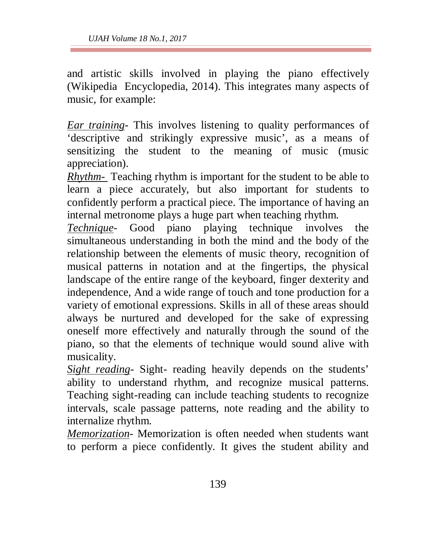and artistic skills involved in playing the piano effectively (Wikipedia Encyclopedia, 2014). This integrates many aspects of music, for example:

*Ear training-* This involves listening to quality performances of 'descriptive and strikingly expressive music', as a means of sensitizing the student to the meaning of music (music appreciation).

*Rhythm-* Teaching rhythm is important for the student to be able to learn a piece accurately, but also important for students to confidently perform a practical piece. The importance of having an internal metronome plays a huge part when teaching rhythm.

*Technique-* Good piano playing technique involves the simultaneous understanding in both the mind and the body of the relationship between the elements of music theory, recognition of musical patterns in notation and at the fingertips, the physical landscape of the entire range of the keyboard, finger dexterity and independence, And a wide range of touch and tone production for a variety of emotional expressions. Skills in all of these areas should always be nurtured and developed for the sake of expressing oneself more effectively and naturally through the sound of the piano, so that the elements of technique would sound alive with musicality.

*Sight reading-* Sight- reading heavily depends on the students' ability to understand rhythm, and recognize musical patterns. Teaching sight-reading can include teaching students to recognize intervals, scale passage patterns, note reading and the ability to internalize rhythm.

*Memorization-* Memorization is often needed when students want to perform a piece confidently. It gives the student ability and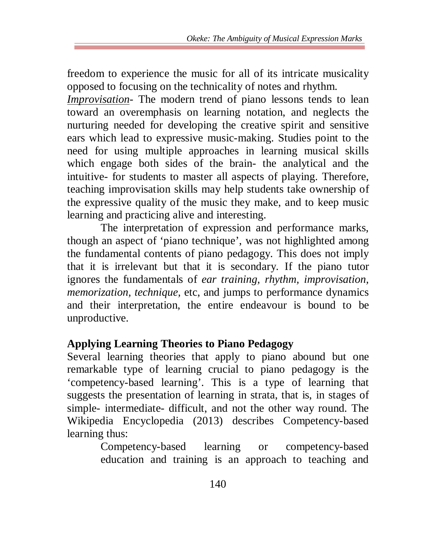freedom to experience the music for all of its intricate musicality opposed to focusing on the technicality of notes and rhythm.

*Improvisation-* The modern trend of piano lessons tends to lean toward an overemphasis on learning notation, and neglects the nurturing needed for developing the creative spirit and sensitive ears which lead to expressive music-making. Studies point to the need for using multiple approaches in learning musical skills which engage both sides of the brain- the analytical and the intuitive- for students to master all aspects of playing. Therefore, teaching improvisation skills may help students take ownership of the expressive quality of the music they make, and to keep music learning and practicing alive and interesting.

The interpretation of expression and performance marks, though an aspect of 'piano technique', was not highlighted among the fundamental contents of piano pedagogy. This does not imply that it is irrelevant but that it is secondary. If the piano tutor ignores the fundamentals of *ear training, rhythm, improvisation, memorization, technique, etc, and jumps to performance dynamics* and their interpretation, the entire endeavour is bound to be unproductive.

## **Applying Learning Theories to Piano Pedagogy**

Several learning theories that apply to piano abound but one remarkable type of learning crucial to piano pedagogy is the 'competency-based learning'. This is a type of learning that suggests the presentation of learning in strata, that is, in stages of simple- intermediate- difficult, and not the other way round. The Wikipedia Encyclopedia (2013) describes Competency-based learning thus:

> Competency-based learning or competency-based education and training is an approach to teaching and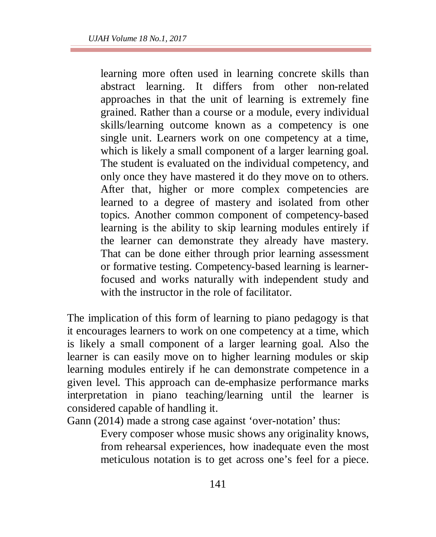learning more often used in learning concrete skills than abstract learning. It differs from other non-related approaches in that the unit of learning is extremely fine grained. Rather than a course or a module, every individual skills/learning outcome known as a competency is one single unit. Learners work on one competency at a time, which is likely a small component of a larger learning goal. The student is evaluated on the individual competency, and only once they have mastered it do they move on to others. After that, higher or more complex competencies are learned to a degree of mastery and isolated from other topics. Another common component of competency-based learning is the ability to skip learning modules entirely if the learner can demonstrate they already have mastery. That can be done either through prior learning assessment or formative testing. Competency-based learning is learnerfocused and works naturally with independent study and with the instructor in the role of facilitator.

The implication of this form of learning to piano pedagogy is that it encourages learners to work on one competency at a time, which is likely a small component of a larger learning goal. Also the learner is can easily move on to higher learning modules or skip learning modules entirely if he can demonstrate competence in a given level. This approach can de-emphasize performance marks interpretation in piano teaching/learning until the learner is considered capable of handling it.

Gann (2014) made a strong case against 'over-notation' thus:

Every composer whose music shows any originality knows, from rehearsal experiences, how inadequate even the most meticulous notation is to get across one's feel for a piece.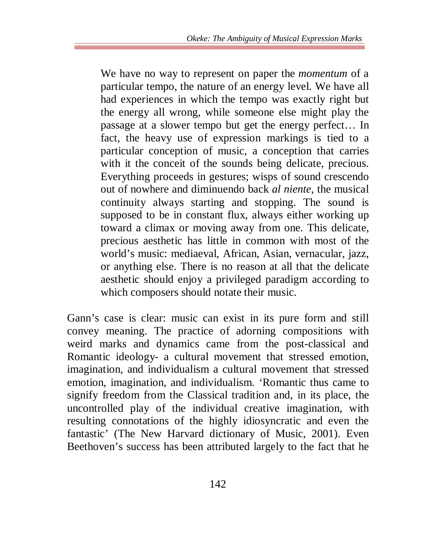We have no way to represent on paper the *momentum* of a particular tempo, the nature of an energy level. We have all had experiences in which the tempo was exactly right but the energy all wrong, while someone else might play the passage at a slower tempo but get the energy perfect… In fact, the heavy use of expression markings is tied to a particular conception of music, a conception that carries with it the conceit of the sounds being delicate, precious. Everything proceeds in gestures; wisps of sound crescendo out of nowhere and diminuendo back *al niente,* the musical continuity always starting and stopping. The sound is supposed to be in constant flux, always either working up toward a climax or moving away from one. This delicate, precious aesthetic has little in common with most of the world's music: mediaeval, African, Asian, vernacular, jazz, or anything else. There is no reason at all that the delicate aesthetic should enjoy a privileged paradigm according to which composers should notate their music.

Gann's case is clear: music can exist in its pure form and still convey meaning. The practice of adorning compositions with weird marks and dynamics came from the post-classical and Romantic ideology- a cultural movement that stressed emotion, imagination, and individualism a cultural movement that stressed emotion, imagination, and individualism. 'Romantic thus came to signify freedom from the Classical tradition and, in its place, the uncontrolled play of the individual creative imagination, with resulting connotations of the highly idiosyncratic and even the fantastic' (The New Harvard dictionary of Music, 2001). Even Beethoven's success has been attributed largely to the fact that he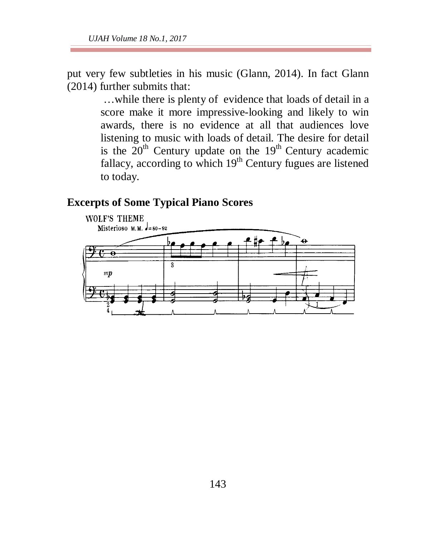put very few subtleties in his music (Glann, 2014). In fact Glann (2014) further submits that:

> …while there is plenty of evidence that loads of detail in a score make it more impressive-looking and likely to win awards, there is no evidence at all that audiences love listening to music with loads of detail. The desire for detail is the  $20<sup>th</sup>$  Century update on the  $19<sup>th</sup>$  Century academic fallacy, according to which  $19<sup>th</sup>$  Century fugues are listened to today.

#### **Excerpts of Some Typical Piano Scores**

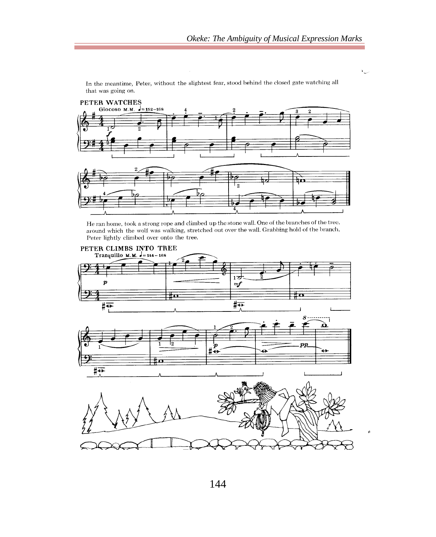ب



In the meantime, Peter, without the slightest fear, stood behind the closed gate watching all that was going on.

He ran home, took a strong rope and climbed up the stone wall. One of the branches of the tree, around which the wolf was walking, stretched out over the wall. Grabbing hold of the branch, Peter lightly climbed over onto the tree.

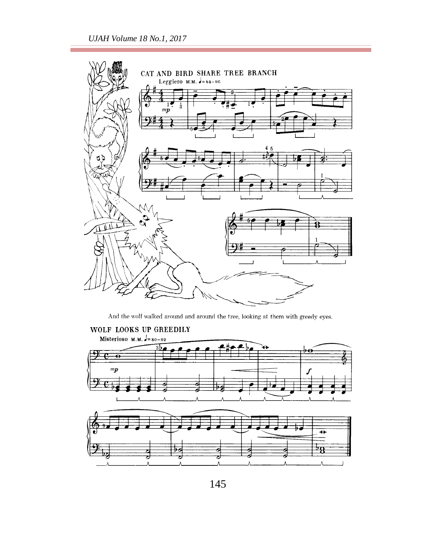

And the wolf walked around and around the tree, looking at them with greedy eyes.



145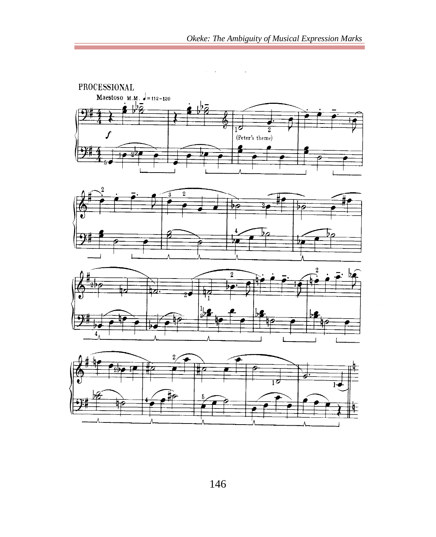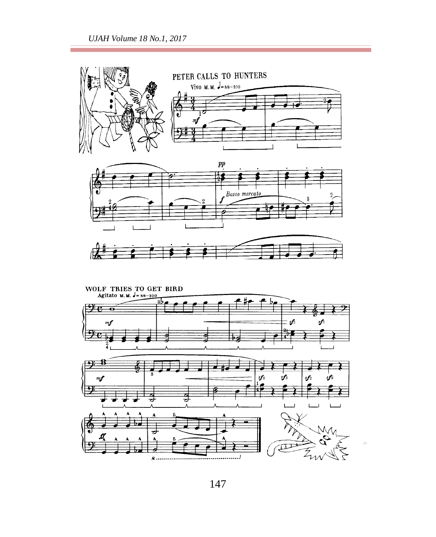